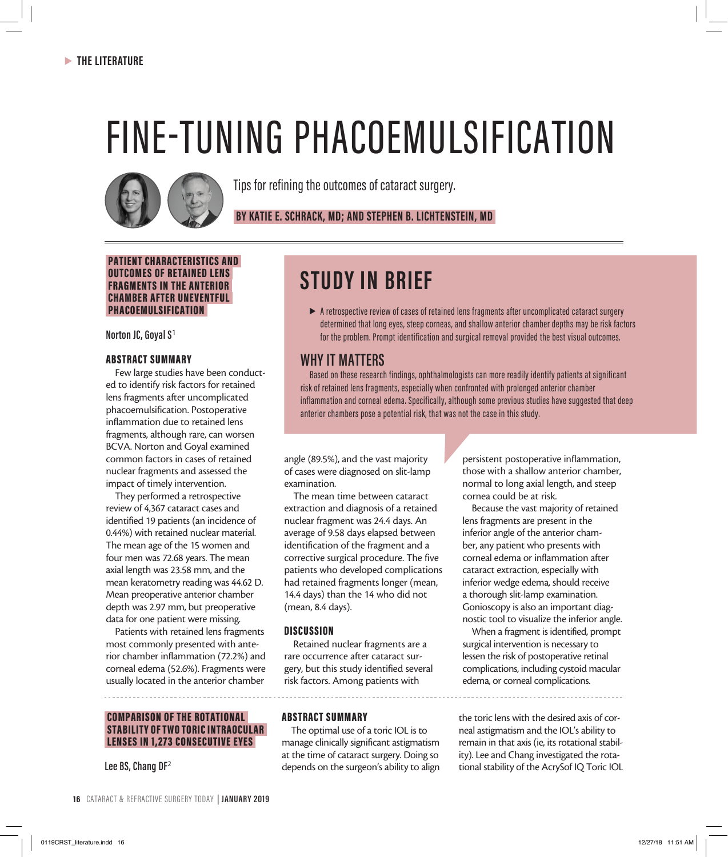# FINE-TUNING PHACOEMULSIFICATION



Tips for refining the outcomes of cataract surgery.

 **BY KATIE E. SCHRACK, MD; AND STEPHEN B. LICHTENSTEIN, MD** 

### PATIENT CHARACTERISTICS AND OUTCOMES OF RETAINED LENS FRAGMENTS IN THE ANTERIOR CHAMBER AFTER UNEVENTFUL PHACOEMULSIFICATION

**Norton JC, Goyal S**<sup>1</sup>

## ABSTRACT SUMMARY

Few large studies have been conducted to identify risk factors for retained lens fragments after uncomplicated phacoemulsification. Postoperative inflammation due to retained lens fragments, although rare, can worsen BCVA. Norton and Goyal examined common factors in cases of retained nuclear fragments and assessed the impact of timely intervention.

They performed a retrospective review of 4,367 cataract cases and identified 19 patients (an incidence of 0.44%) with retained nuclear material. The mean age of the 15 women and four men was 72.68 years. The mean axial length was 23.58 mm, and the mean keratometry reading was 44.62 D. Mean preoperative anterior chamber depth was 2.97 mm, but preoperative data for one patient were missing.

Patients with retained lens fragments most commonly presented with anterior chamber inflammation (72.2%) and corneal edema (52.6%). Fragments were usually located in the anterior chamber

# COMPARISON OF THE ROTATIONAL STABILITY OF TWO TORIC INTRAOCULAR LENSES IN 1,273 CONSECUTIVE EYES

**Lee BS, Chang DF**<sup>2</sup>

# **STUDY IN BRIEF**

 $\triangleright$  A retrospective review of cases of retained lens fragments after uncomplicated cataract surgery determined that long eyes, steep corneas, and shallow anterior chamber depths may be risk factors for the problem. Prompt identification and surgical removal provided the best visual outcomes.

# **WHY IT MATTERS**

Based on these research findings, ophthalmologists can more readily identify patients at significant risk of retained lens fragments, especially when confronted with prolonged anterior chamber inflammation and corneal edema. Specifically, although some previous studies have suggested that deep anterior chambers pose a potential risk, that was not the case in this study.

angle (89.5%), and the vast majority of cases were diagnosed on slit-lamp examination.

The mean time between cataract extraction and diagnosis of a retained nuclear fragment was 24.4 days. An average of 9.58 days elapsed between identification of the fragment and a corrective surgical procedure. The five patients who developed complications had retained fragments longer (mean, 14.4 days) than the 14 who did not (mean, 8.4 days).

## **DISCUSSION**

Retained nuclear fragments are a rare occurrence after cataract surgery, but this study identified several risk factors. Among patients with

persistent postoperative inflammation, those with a shallow anterior chamber, normal to long axial length, and steep cornea could be at risk.

Because the vast majority of retained lens fragments are present in the inferior angle of the anterior chamber, any patient who presents with corneal edema or inflammation after cataract extraction, especially with inferior wedge edema, should receive a thorough slit-lamp examination. Gonioscopy is also an important diagnostic tool to visualize the inferior angle.

When a fragment is identified, prompt surgical intervention is necessary to lessen the risk of postoperative retinal complications, including cystoid macular edema, or corneal complications.

ABSTRACT SUMMARY

The optimal use of a toric IOL is to manage clinically significant astigmatism at the time of cataract surgery. Doing so depends on the surgeon's ability to align

the toric lens with the desired axis of corneal astigmatism and the IOL's ability to remain in that axis (ie, its rotational stability). Lee and Chang investigated the rotational stability of the AcrySof IQ Toric IOL